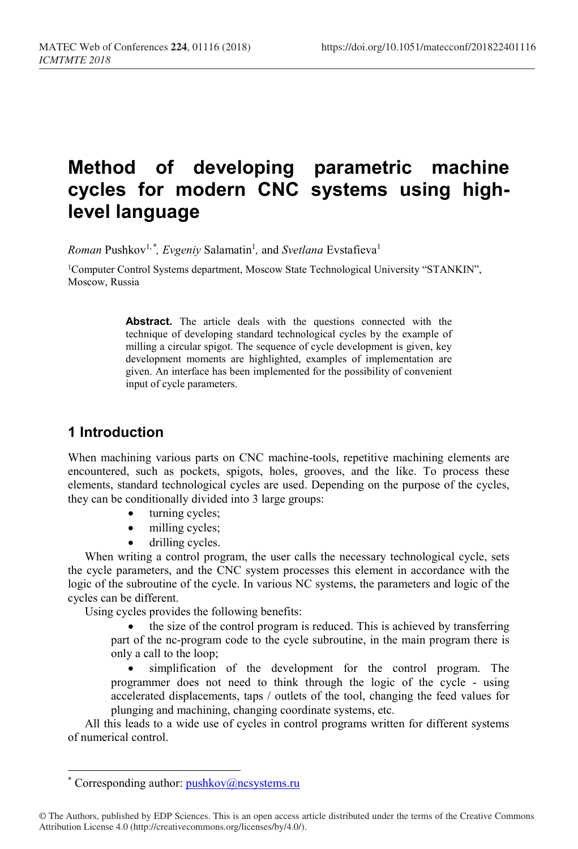# **Method of developing parametric machine cycles for modern CNC systems using highlevel language**

 $\noindent Roman$   $\emph{Pushkov}^{1,*}$  $\emph{Pushkov}^{1,*}$  $\emph{Pushkov}^{1,*}$ *, Evgeniy* Salamatin<sup>1</sup>, and *Svetlana* Evstafieva<sup>1</sup>

<sup>1</sup>Computer Control Systems department, Moscow State Technological University "STANKIN", Moscow, Russia

> **Abstract.** The article deals with the questions connected with the technique of developing standard technological cycles by the example of milling a circular spigot. The sequence of cycle development is given, key development moments are highlighted, examples of implementation are given. An interface has been implemented for the possibility of convenient input of cycle parameters.

#### **1 Introduction**

 $\overline{a}$ 

When machining various parts on CNC machine-tools, repetitive machining elements are encountered, such as pockets, spigots, holes, grooves, and the like. To process these elements, standard technological cycles are used. Depending on the purpose of the cycles, they can be conditionally divided into 3 large groups:

- turning cycles;
- milling cycles;
- drilling cycles.

When writing a control program, the user calls the necessary technological cycle, sets the cycle parameters, and the CNC system processes this element in accordance with the logic of the subroutine of the cycle. In various NC systems, the parameters and logic of the cycles can be different.

Using cycles provides the following benefits:

• the size of the control program is reduced. This is achieved by transferring part of the nc-program code to the cycle subroutine, in the main program there is only a call to the loop;

simplification of the development for the control program. The programmer does not need to think through the logic of the cycle - using accelerated displacements, taps / outlets of the tool, changing the feed values for plunging and machining, changing coordinate systems, etc.

All this leads to a wide use of cycles in control programs written for different systems of numerical control.

<sup>\*</sup> Corresponding author: pushkov@ncsystems.ru

<span id="page-0-0"></span><sup>©</sup> The Authors, published by EDP Sciences. This is an open access article distributed under the terms of the Creative Commons Attribution License 4.0 (http://creativecommons.org/licenses/by/4.0/).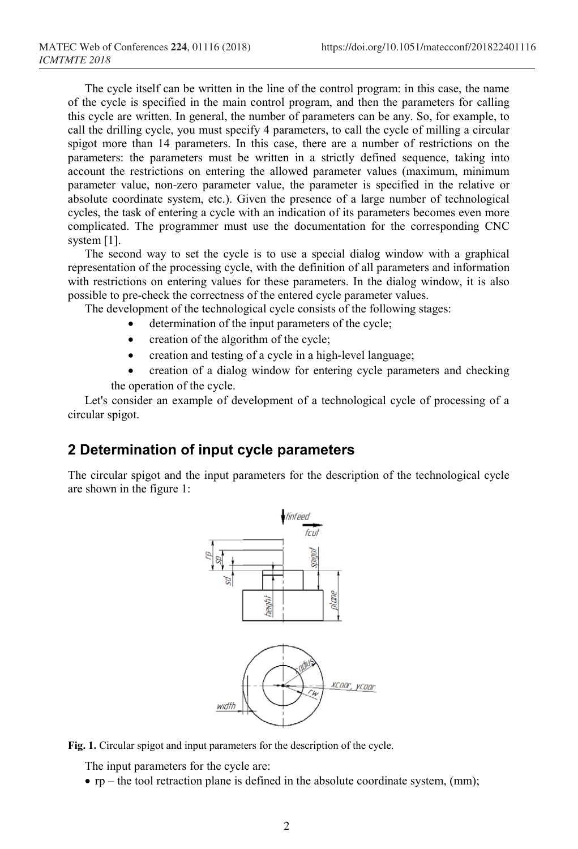The cycle itself can be written in the line of the control program: in this case, the name of the cycle is specified in the main control program, and then the parameters for calling this cycle are written. In general, the number of parameters can be any. So, for example, to call the drilling cycle, you must specify 4 parameters, to call the cycle of milling a circular spigot more than 14 parameters. In this case, there are a number of restrictions on the parameters: the parameters must be written in a strictly defined sequence, taking into account the restrictions on entering the allowed parameter values (maximum, minimum parameter value, non-zero parameter value, the parameter is specified in the relative or absolute coordinate system, etc.). Given the presence of a large number of technological cycles, the task of entering a cycle with an indication of its parameters becomes even more complicated. The programmer must use the documentation for the corresponding CNC system [1].

The second way to set the cycle is to use a special dialog window with a graphical representation of the processing cycle, with the definition of all parameters and information with restrictions on entering values for these parameters. In the dialog window, it is also possible to pre-check the correctness of the entered cycle parameter values.

The development of the technological cycle consists of the following stages:

- determination of the input parameters of the cycle;
- creation of the algorithm of the cycle;
- creation and testing of a cycle in a high-level language;
- creation of a dialog window for entering cycle parameters and checking the operation of the cycle.

Let's consider an example of development of a technological cycle of processing of a circular spigot.

#### **2 Determination of input cycle parameters**

The circular spigot and the input parameters for the description of the technological cycle are shown in the figure 1:



**Fig. 1.** Circular spigot and input parameters for the description of the cycle.

The input parameters for the cycle are:

•  $rp$  – the tool retraction plane is defined in the absolute coordinate system, (mm);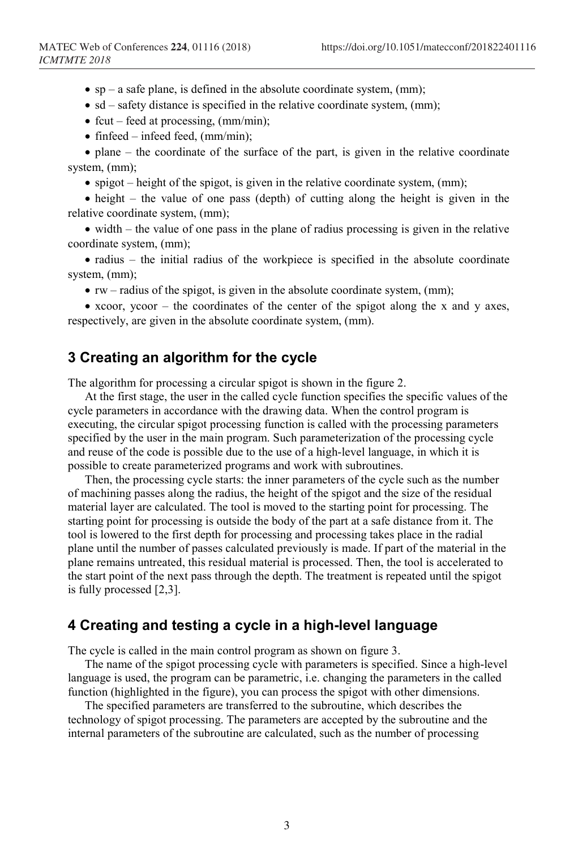•  $sp - a$  safe plane, is defined in the absolute coordinate system, (mm);

•  $sd - safety distance is specified in the relative coordinate system, (mm);$ 

• fcut – feed at processing, (mm/min);

• finfeed – infeed feed, (mm/min);

• plane – the coordinate of the surface of the part, is given in the relative coordinate system, (mm);

• spigot – height of the spigot, is given in the relative coordinate system, (mm);

 $\bullet$  height – the value of one pass (depth) of cutting along the height is given in the relative coordinate system, (mm);

• width – the value of one pass in the plane of radius processing is given in the relative coordinate system, (mm);

• radius – the initial radius of the workpiece is specified in the absolute coordinate system, (mm);

• rw – radius of the spigot, is given in the absolute coordinate system, (mm);

• xcoor, ycoor – the coordinates of the center of the spigot along the x and y axes, respectively, are given in the absolute coordinate system, (mm).

#### **3 Creating an algorithm for the cycle**

The algorithm for processing a circular spigot is shown in the figure 2.

At the first stage, the user in the called cycle function specifies the specific values of the cycle parameters in accordance with the drawing data. When the control program is executing, the circular spigot processing function is called with the processing parameters specified by the user in the main program. Such parameterization of the processing cycle and reuse of the code is possible due to the use of a high-level language, in which it is possible to create parameterized programs and work with subroutines.

Then, the processing cycle starts: the inner parameters of the cycle such as the number of machining passes along the radius, the height of the spigot and the size of the residual material layer are calculated. The tool is moved to the starting point for processing. The starting point for processing is outside the body of the part at a safe distance from it. The tool is lowered to the first depth for processing and processing takes place in the radial plane until the number of passes calculated previously is made. If part of the material in the plane remains untreated, this residual material is processed. Then, the tool is accelerated to the start point of the next pass through the depth. The treatment is repeated until the spigot is fully processed [2,3].

#### **4 Creating and testing a cycle in a high-level language**

The cycle is called in the main control program as shown on figure 3.

The name of the spigot processing cycle with parameters is specified. Since a high-level language is used, the program can be parametric, i.e. changing the parameters in the called function (highlighted in the figure), you can process the spigot with other dimensions.

The specified parameters are transferred to the subroutine, which describes the technology of spigot processing. The parameters are accepted by the subroutine and the internal parameters of the subroutine are calculated, such as the number of processing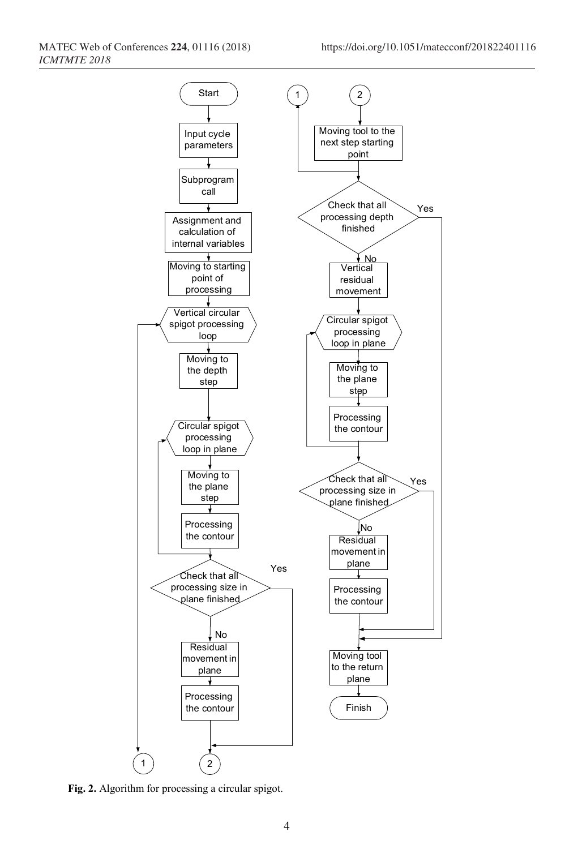

**Fig. 2.** Algorithm for processing a circular spigot.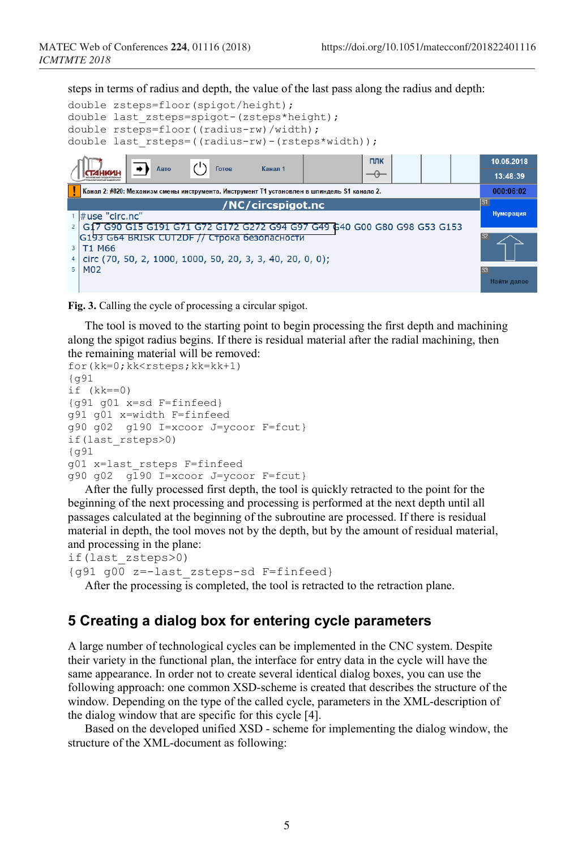steps in terms of radius and depth, the value of the last pass along the radius and depth:

```
double zsteps=floor(spigot/height); 
double last zsteps=spigot-(zsteps*height);
double rsteps=floor((radius-rw)/width); 
double last rsteps=((radius-rw)-(rsteps*width));
                                                                   n<sub>max</sub>10.05.2018
               \rightarrowApro
                                Foron
                                           Kauan 1
    TAHKMH
                                                                   \overline{a}13.48.39Канал 2: #820: Механизм смены инструмента. Инструмент T1 установлен в шпиндель S1 канала 2.
                                                                                              000:06:02/NC/circspigot.nc
                                                                                              Нумерация
<sup>1</sup> #use "circ.nc"
2 G17 G90 G15 G191 G71 G72 G172 G272 G94 G97 G49 G40 G00 G80 G98 G53 G153
  G193 G64 BRISK CUT2DF // Строка безопасности
3 T1 M66
4 circ (70, 50, 2, 1000, 1000, 50, 20, 3, 3, 40, 20, 0, 0);
5 MO<sub>2</sub>
                                                                                              Найти д
```
**Fig. 3.** Calling the cycle of processing a circular spigot.

The tool is moved to the starting point to begin processing the first depth and machining along the spigot radius begins. If there is residual material after the radial machining, then the remaining material will be removed:

```
for(kk=0;kk<rsteps;kk=kk+1) 
{q91}if (kk==0){g91 g01 x=sd F=finfeed} 
g91 g01 x=width F=finfeed 
g90 g02 g190 I=xcoor J=ycoor F=fcut} 
if(last_rsteps>0) 
{q91}g01 x=last_rsteps F=finfeed 
g90 g02 g190 I=xcoor J=ycoor F=fcut}
```
After the fully processed first depth, the tool is quickly retracted to the point for the beginning of the next processing and processing is performed at the next depth until all passages calculated at the beginning of the subroutine are processed. If there is residual material in depth, the tool moves not by the depth, but by the amount of residual material, and processing in the plane:

```
if(last_zsteps>0)
{g91 g00 z=-last_zsteps-sd F=finfeed}
```
After the processing is completed, the tool is retracted to the retraction plane.

### **5 Creating a dialog box for entering cycle parameters**

A large number of technological cycles can be implemented in the CNC system. Despite their variety in the functional plan, the interface for entry data in the cycle will have the same appearance. In order not to create several identical dialog boxes, you can use the following approach: one common XSD-scheme is created that describes the structure of the window. Depending on the type of the called cycle, parameters in the XML-description of the dialog window that are specific for this cycle [4].

Based on the developed unified XSD - scheme for implementing the dialog window, the structure of the XML-document as following: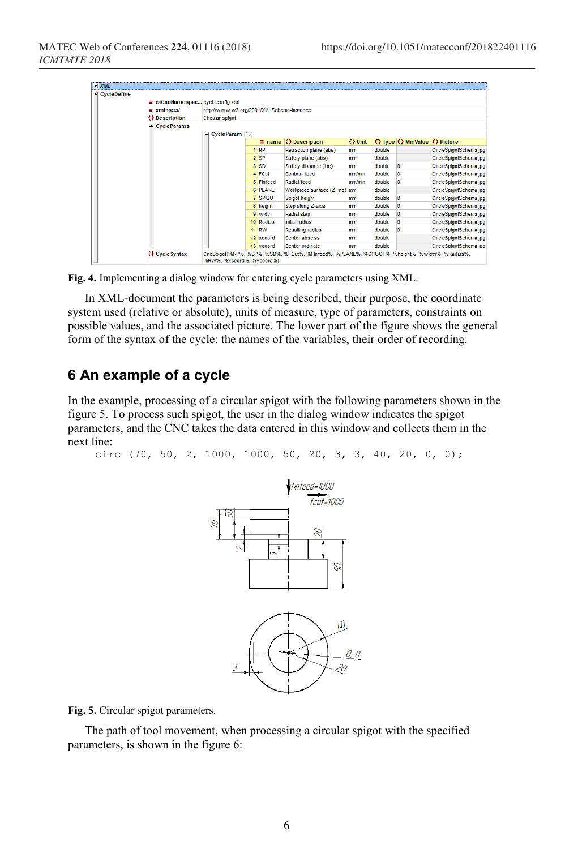| $\triangle$ CycleDefine |                                          |                                           |  |                   |                                                                                                 |                        |        |                                |                        |
|-------------------------|------------------------------------------|-------------------------------------------|--|-------------------|-------------------------------------------------------------------------------------------------|------------------------|--------|--------------------------------|------------------------|
|                         | $\equiv xsi$ :noNamespac cycleconfig.xsd |                                           |  |                   |                                                                                                 |                        |        |                                |                        |
|                         | $\equiv$ xmlns:xsi                       | http://www.w3.org/2001/XMLSchema-instance |  |                   |                                                                                                 |                        |        |                                |                        |
|                         | () Description                           | Circular spigot                           |  |                   |                                                                                                 |                        |        |                                |                        |
|                         | $\triangle$ CycleParams                  |                                           |  |                   |                                                                                                 |                        |        |                                |                        |
|                         |                                          | $\triangleleft$ CycleParam (13)           |  |                   |                                                                                                 |                        |        |                                |                        |
|                         |                                          |                                           |  | $=$ name          | () Description                                                                                  | $\langle \rangle$ Unit |        | () Type () MinValue () Picture |                        |
|                         |                                          |                                           |  | $1$ <sub>RP</sub> | Retraction plane (abs)                                                                          | mm                     | double |                                | CircleSpigotSchema.jpg |
|                         |                                          |                                           |  | $2$ SP            | Safety plane (abs)                                                                              | mm                     | double |                                | CircleSpigotSchema.jpg |
|                         |                                          |                                           |  | $3$ SD            | Safety distance (inc)                                                                           | mm                     | double | O                              | CircleSpigotSchema.jpg |
|                         |                                          |                                           |  | 4 FCut            | Contour feed                                                                                    | mm/min                 | double | n                              | CircleSpigotSchema.jpg |
|                         |                                          |                                           |  | 5 Finfeed         | Radial feed                                                                                     | mm/min                 | double | 0                              | CircleSpigotSchema.jpg |
|                         |                                          |                                           |  | 6 PLANE           | Workpiece surface (Z, inc)                                                                      | mm                     | double |                                | CircleSpigotSchema.jpg |
|                         |                                          |                                           |  | <b>7 SPIGOT</b>   | <b>Spigot height</b>                                                                            | mm                     | double | 0                              | CircleSpigotSchema.jpg |
|                         |                                          |                                           |  | 8 height          | Step along Z-axis                                                                               | mm                     | double | O                              | CircleSpigotSchema.jpg |
|                         |                                          |                                           |  | 9 width           | Radial step                                                                                     | mm                     | double | o                              | CircleSpigotSchema.jpg |
|                         |                                          |                                           |  | 10 Radius         | Initial radius                                                                                  | mm                     | double | 0                              | CircleSpigotSchema.jpg |
|                         |                                          |                                           |  | <b>11 RW</b>      | <b>Resulting radius</b>                                                                         | mm                     | double | 0                              | CircleSpigotSchema.jpg |
|                         |                                          |                                           |  | 12 xcoord         | <b>Center absciss</b>                                                                           | mm                     | double |                                | CircleSpigotSchema.jpg |
|                         |                                          |                                           |  | 13 vcoord         | Center ordinate                                                                                 | mm                     | double |                                | CircleSpigotSchema.jpg |
|                         | () Cycle Syntax                          | %RW%, %xcoord%, %vcoord%);                |  |                   | CircSpigot(%RP%, %SP%, %SD%, %FCut%, %FInfeed%, %PLANE%, %SPIGOT%, %height%, %width%, %Radius%, |                        |        |                                |                        |

**Fig. 4.** Implementing a dialog window for entering cycle parameters using XML.

In XML-document the parameters is being described, their purpose, the coordinate system used (relative or absolute), units of measure, type of parameters, constraints on possible values, and the associated picture. The lower part of the figure shows the general form of the syntax of the cycle: the names of the variables, their order of recording.

#### **6 An example of a cycle**

In the example, processing of a circular spigot with the following parameters shown in the figure 5. To process such spigot, the user in the dialog window indicates the spigot parameters, and the CNC takes the data entered in this window and collects them in the next line:

circ (70, 50, 2, 1000, 1000, 50, 20, 3, 3, 40, 20, 0, 0);



**Fig. 5.** Circular spigot parameters.

The path of tool movement, when processing a circular spigot with the specified parameters, is shown in the figure 6: